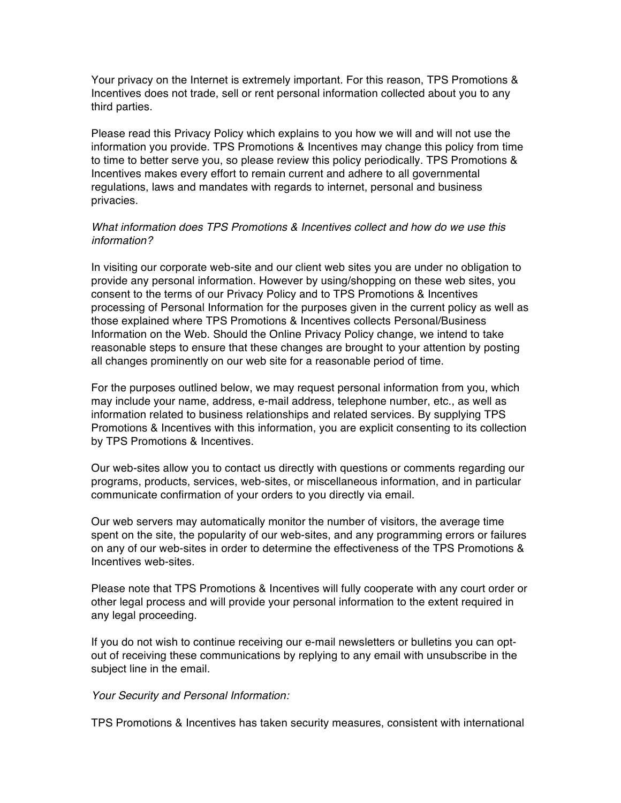Your privacy on the Internet is extremely important. For this reason, TPS Promotions & Incentives does not trade, sell or rent personal information collected about you to any third parties.

Please read this Privacy Policy which explains to you how we will and will not use the information you provide. TPS Promotions & Incentives may change this policy from time to time to better serve you, so please review this policy periodically. TPS Promotions & Incentives makes every effort to remain current and adhere to all governmental regulations, laws and mandates with regards to internet, personal and business privacies.

## *What information does TPS Promotions & Incentives collect and how do we use this information?*

In visiting our corporate web-site and our client web sites you are under no obligation to provide any personal information. However by using/shopping on these web sites, you consent to the terms of our Privacy Policy and to TPS Promotions & Incentives processing of Personal Information for the purposes given in the current policy as well as those explained where TPS Promotions & Incentives collects Personal/Business Information on the Web. Should the Online Privacy Policy change, we intend to take reasonable steps to ensure that these changes are brought to your attention by posting all changes prominently on our web site for a reasonable period of time.

For the purposes outlined below, we may request personal information from you, which may include your name, address, e-mail address, telephone number, etc., as well as information related to business relationships and related services. By supplying TPS Promotions & Incentives with this information, you are explicit consenting to its collection by TPS Promotions & Incentives.

Our web-sites allow you to contact us directly with questions or comments regarding our programs, products, services, web-sites, or miscellaneous information, and in particular communicate confirmation of your orders to you directly via email.

Our web servers may automatically monitor the number of visitors, the average time spent on the site, the popularity of our web-sites, and any programming errors or failures on any of our web-sites in order to determine the effectiveness of the TPS Promotions & Incentives web-sites.

Please note that TPS Promotions & Incentives will fully cooperate with any court order or other legal process and will provide your personal information to the extent required in any legal proceeding.

If you do not wish to continue receiving our e-mail newsletters or bulletins you can optout of receiving these communications by replying to any email with unsubscribe in the subject line in the email.

### *Your Security and Personal Information:*

TPS Promotions & Incentives has taken security measures, consistent with international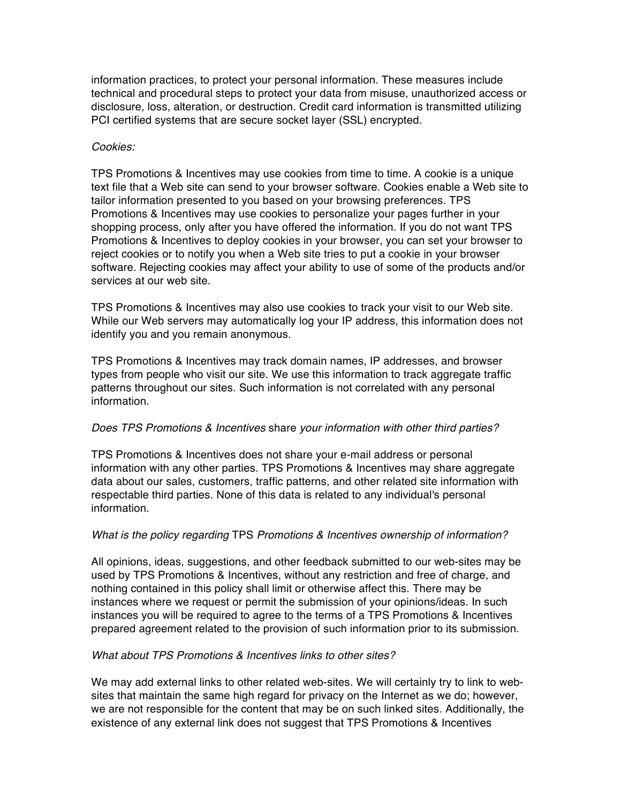information practices, to protect your personal information. These measures include technical and procedural steps to protect your data from misuse, unauthorized access or disclosure, loss, alteration, or destruction. Credit card information is transmitted utilizing PCI certified systems that are secure socket layer (SSL) encrypted.

#### *Cookies:*

TPS Promotions & Incentives may use cookies from time to time. A cookie is a unique text file that a Web site can send to your browser software. Cookies enable a Web site to tailor information presented to you based on your browsing preferences. TPS Promotions & Incentives may use cookies to personalize your pages further in your shopping process, only after you have offered the information. If you do not want TPS Promotions & Incentives to deploy cookies in your browser, you can set your browser to reject cookies or to notify you when a Web site tries to put a cookie in your browser software. Rejecting cookies may affect your ability to use of some of the products and/or services at our web site.

TPS Promotions & Incentives may also use cookies to track your visit to our Web site. While our Web servers may automatically log your IP address, this information does not identify you and you remain anonymous.

TPS Promotions & Incentives may track domain names, IP addresses, and browser types from people who visit our site. We use this information to track aggregate traffic patterns throughout our sites. Such information is not correlated with any personal information.

### *Does TPS Promotions & Incentives* share *your information with other third parties?*

TPS Promotions & Incentives does not share your e-mail address or personal information with any other parties. TPS Promotions & Incentives may share aggregate data about our sales, customers, traffic patterns, and other related site information with respectable third parties. None of this data is related to any individual's personal information.

### *What is the policy regarding* TPS *Promotions & Incentives ownership of information?*

All opinions, ideas, suggestions, and other feedback submitted to our web-sites may be used by TPS Promotions & Incentives, without any restriction and free of charge, and nothing contained in this policy shall limit or otherwise affect this. There may be instances where we request or permit the submission of your opinions/ideas. In such instances you will be required to agree to the terms of a TPS Promotions & Incentives prepared agreement related to the provision of such information prior to its submission.

### *What about TPS Promotions & Incentives links to other sites?*

We may add external links to other related web-sites. We will certainly try to link to websites that maintain the same high regard for privacy on the Internet as we do; however, we are not responsible for the content that may be on such linked sites. Additionally, the existence of any external link does not suggest that TPS Promotions & Incentives